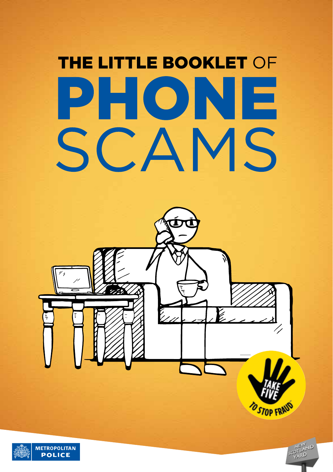# **THE LITTLE BOOKLET OF** PHONE SCAMS



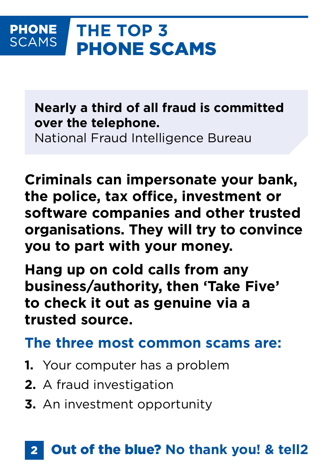#### **THE TOP 3 PHONE SCAMS** PHONE SCAMS

**Nearly a third of all fraud is committed over the telephone.**

National Fraud Intelligence Bureau

**Criminals can impersonate your bank, the police, tax office, investment or software companies and other trusted organisations. They will try to convince you to part with your money.**

**Hang up on cold calls from any business/authority, then 'Take Five' to check it out as genuine via a trusted source.**

**The three most common scams are:**

- **1.** Your computer has a problem
- **2.** A fraud investigation
- **3.** An investment opportunity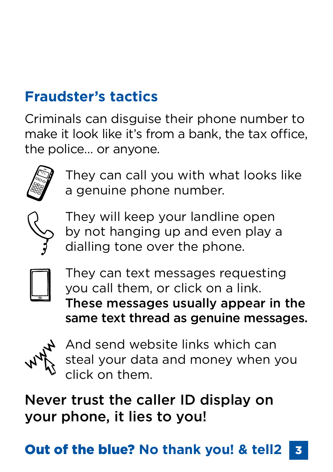## **Fraudster's tactics**

Criminals can disguise their phone number to make it look like it's from a bank, the tax office, the police… or anyone.



They can call you with what looks like a genuine phone number.



They will keep your landline open by not hanging up and even play a dialling tone over the phone.



They can text messages requesting you call them, or click on a link. These messages usually appear in the same text thread as genuine messages.



And send website links which can steal your data and money when you click on them.

Never trust the caller ID display on your phone, it lies to you!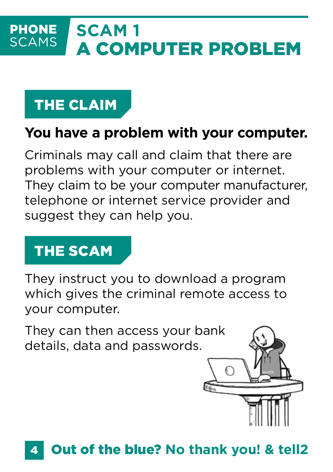### **SCAM 1 PHONE SCAMS** A COMPUTER PROBLEM

# THE CLAIM

### **You have a problem with your computer.**

Criminals may call and claim that there are problems with your computer or internet. They claim to be your computer manufacturer, telephone or internet service provider and suggest they can help you.

# THE SCAM

They instruct you to download a program which gives the criminal remote access to your computer.

They can then access your bank details, data and passwords.

#### 4 Out of the blue? **No thank you! & tell2**

€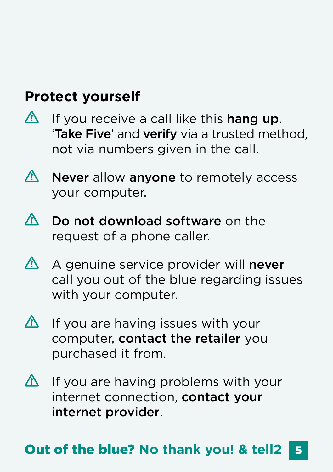### **Protect yourself**

- $\bigwedge$ If you receive a call like this hang up. 'Take Five' and verify via a trusted method, not via numbers given in the call.
- $\bigwedge$ Never allow anyone to remotely access your computer.
- $\Lambda$ Do not download software on the request of a phone caller.
- $\bigwedge$ A genuine service provider will never call you out of the blue regarding issues with your computer.
- $\bigwedge$ If you are having issues with your computer, contact the retailer you purchased it from.
- $\Delta$ If you are having problems with your internet connection, contact your internet provider.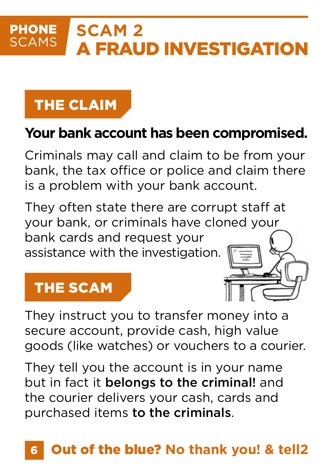### **PHONE SCAM 2 SCAMS** A FRAUD INVESTIGATION

# THE CLAIM

### **Your bank account has been compromised.**

Criminals may call and claim to be from your bank, the tax office or police and claim there is a problem with your bank account.

They often state there are corrupt staff at your bank, or criminals have cloned your bank cards and request your assistance with the investigation.

### THE SCAM

They instruct you to transfer money into a secure account, provide cash, high value goods (like watches) or vouchers to a courier.

They tell you the account is in your name but in fact it belongs to the criminal! and the courier delivers your cash, cards and purchased items to the criminals.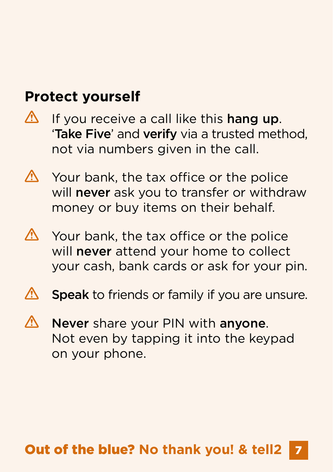### **Protect yourself**

- $\bigwedge$ If you receive a call like this hang up. 'Take Five' and verify via a trusted method, not via numbers given in the call.
- Λ. Your bank, the tax office or the police will never ask you to transfer or withdraw money or buy items on their behalf.
- **A** Your bank, the tax office or the police will **never** attend your home to collect your cash, bank cards or ask for your pin.
- **/\** Speak to friends or family if you are unsure.
- Never share your PIN with anyone. Λ Not even by tapping it into the keypad on your phone.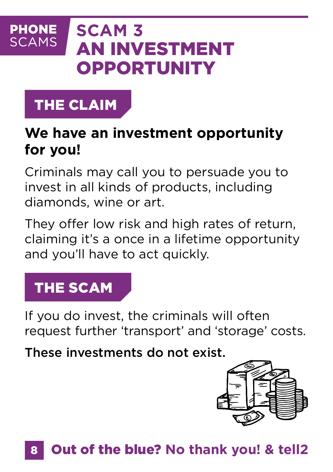### **PHONE SCAM 3 SCAMS** AN INVESTMENT **OPPORTUNITY**

# THE CLAIM

### **We have an investment opportunity for you!**

Criminals may call you to persuade you to invest in all kinds of products, including diamonds, wine or art.

They offer low risk and high rates of return, claiming it's a once in a lifetime opportunity and you'll have to act quickly.

# THE SCAM

If you do invest, the criminals will often request further 'transport' and 'storage' costs.

These investments do not exist.

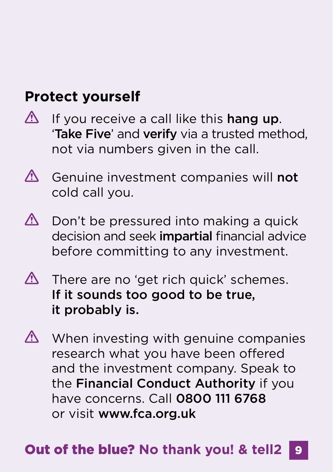### **Protect yourself**

- $\bigwedge$ If you receive a call like this hang up. 'Take Five' and verify via a trusted method, not via numbers given in the call.
- $\bigwedge$ Genuine investment companies will not cold call you.
- $\bigwedge$ Don't be pressured into making a quick decision and seek *impartial* financial advice before committing to any investment.
- $\triangle$  There are no 'get rich quick' schemes. If it sounds too good to be true, it probably is.
- **A** When investing with genuine companies research what you have been offered and the investment company. Speak to the Financial Conduct Authority if you have concerns. Call 0800 111 6768 or visit www.fca.org.uk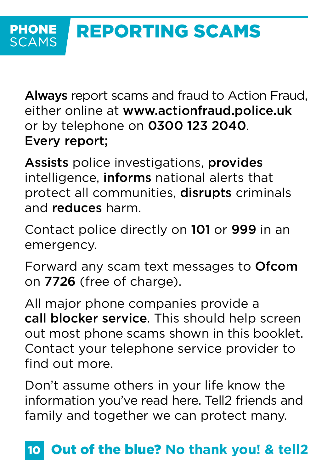Always report scams and fraud to Action Fraud, either online at www.actionfraud.police.uk or by telephone on 0300 123 2040. Every report;

Assists police investigations, provides intelligence, informs national alerts that protect all communities, disrupts criminals and reduces harm.

Contact police directly on 101 or 999 in an emergency.

Forward any scam text messages to Ofcom on 7726 (free of charge).

All major phone companies provide a call blocker service. This should help screen out most phone scams shown in this booklet. Contact your telephone service provider to find out more.

Don't assume others in your life know the information you've read here. Tell2 friends and family and together we can protect many.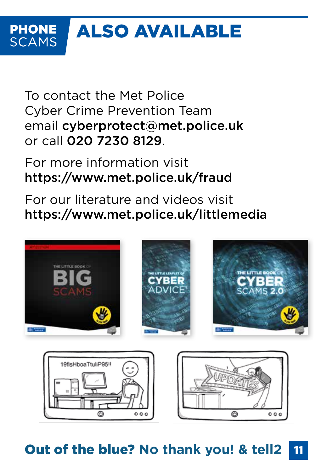### ALSO AVAILABLE **PHONE SCAMS**

To contact the Met Police Cyber Crime Prevention Team email cyberprotect@met.police.uk or call 020 7230 8129.

For more information visit https://www.met.police.uk/fraud

For our literature and videos visit https://www.met.police.uk/littlemedia